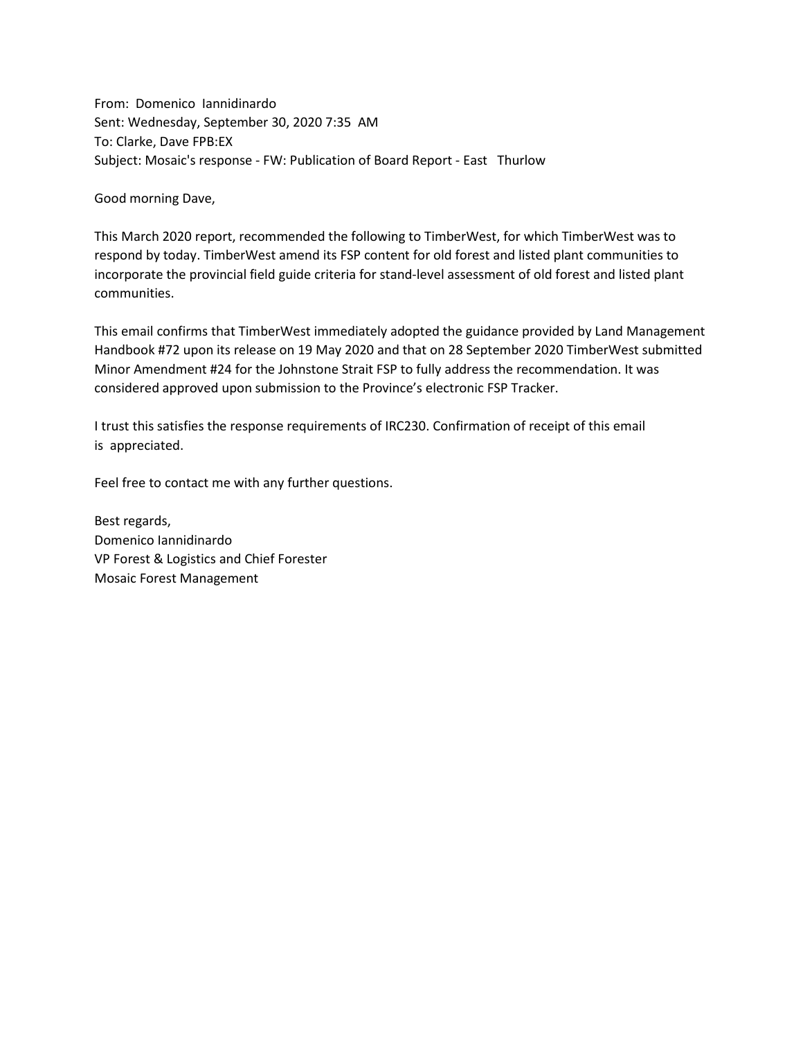From: Domenico Iannidinardo Sent: Wednesday, September 30, 2020 7:35 AM To: Clarke, Dave FPB:EX Subject: Mosaic's response - FW: Publication of Board Report - East Thurlow

Good morning Dave,

This March 2020 report, recommended the following to TimberWest, for which TimberWest was to respond by today. TimberWest amend its FSP content for old forest and listed plant communities to incorporate the provincial field guide criteria for stand-level assessment of old forest and listed plant communities.

This email confirms that TimberWest immediately adopted the guidance provided by Land Management Handbook #72 upon its release on 19 May 2020 and that on 28 September 2020 TimberWest submitted Minor Amendment #24 for the Johnstone Strait FSP to fully address the recommendation. It was considered approved upon submission to the Province's electronic FSP Tracker.

I trust this satisfies the response requirements of IRC230. Confirmation of receipt of this email is appreciated.

Feel free to contact me with any further questions.

Best regards, Domenico Iannidinardo VP Forest & Logistics and Chief Forester Mosaic Forest Management